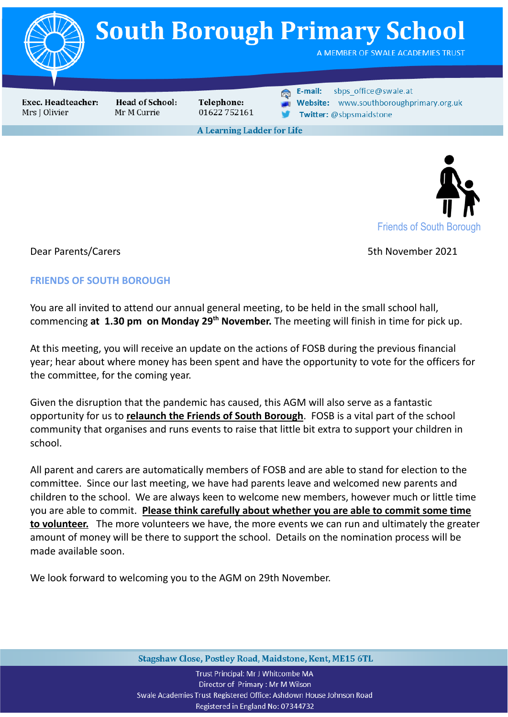

**A Learning Ladder for Life** 



Dear Parents/Carers 6th November 2021

**FRIENDS OF SOUTH BOROUGH**

You are all invited to attend our annual general meeting, to be held in the small school hall, commencing **at 1.30 pm on Monday 29 th November.** The meeting will finish in time for pick up.

At this meeting, you will receive an update on the actions of FOSB during the previous financial year; hear about where money has been spent and have the opportunity to vote for the officers for the committee, for the coming year.

Given the disruption that the pandemic has caused, this AGM will also serve as a fantastic opportunity for us to **relaunch the Friends of South Borough**. FOSB is a vital part of the school community that organises and runs events to raise that little bit extra to support your children in school.

All parent and carers are automatically members of FOSB and are able to stand for election to the committee. Since our last meeting, we have had parents leave and welcomed new parents and children to the school. We are always keen to welcome new members, however much or little time you are able to commit. **Please think carefully about whether you are able to commit some time to volunteer.** The more volunteers we have, the more events we can run and ultimately the greater amount of money will be there to support the school. Details on the nomination process will be made available soon.

We look forward to welcoming you to the AGM on 29th November.

Stagshaw Close, Postley Road, Maidstone, Kent, ME15 6TL

Trust Principal: Mr J Whitcombe MA Director of Primary: Mr M Wilson Swale Academies Trust Registered Office: Ashdown House Johnson Road Registered in England No: 07344732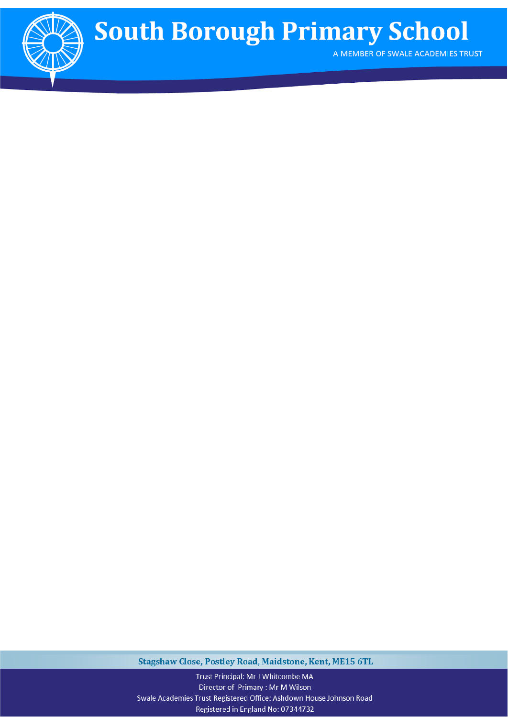

A MEMBER OF SWALE ACADEMIES TRUST

Stagshaw Close, Postley Road, Maidstone, Kent, ME15 6TL

Trust Principal: Mr J Whitcombe MA Director of Primary: Mr M Wilson Swale Academies Trust Registered Office: Ashdown House Johnson Road Registered in England No: 07344732